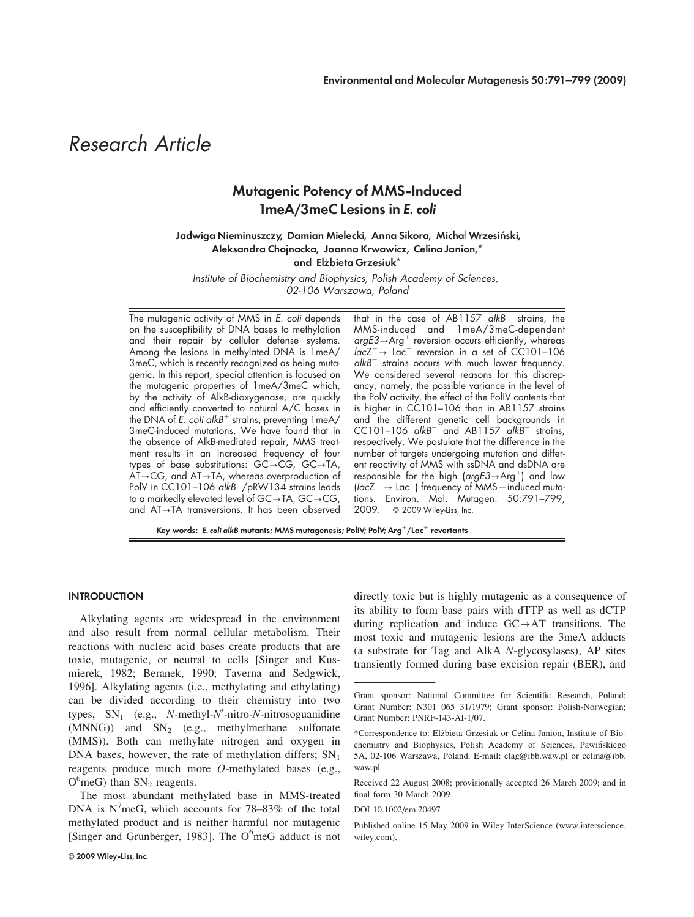# Research Article

## Mutagenic Potency of MMS-Induced 1meA/3meC Lesions in E. coli

Jadwiga Nieminuszczy, Damian Mielecki, Anna Sikora, Michał Wrzesiński, Aleksandra Chojnacka, Joanna Krwawicz, Celina Janion,\*

and Elżbieta Grzesiuk\*

Institute of Biochemistry and Biophysics, Polish Academy of Sciences, 02-106 Warszawa, Poland

The mutagenic activity of MMS in E. coli depends on the susceptibility of DNA bases to methylation and their repair by cellular defense systems. Among the lesions in methylated DNA is 1meA/ 3meC, which is recently recognized as being mutagenic. In this report, special attention is focused on the mutagenic properties of 1meA/3meC which, by the activity of AlkB-dioxygenase, are quickly and efficiently converted to natural A/C bases in the DNA of  $\vec{E}$ . coli alkB<sup>+</sup> strains, preventing  $1 \text{meA}/$ 3meC-induced mutations. We have found that in the absence of AlkB-mediated repair, MMS treatment results in an increased frequency of four types of base substitutions:  $GC \rightarrow CG$ ,  $GC \rightarrow TA$ ,  $AT \rightarrow CG$ , and  $AT \rightarrow TA$ , whereas overproduction of PolV in CC101-106 alkB<sup>-</sup>/pRW134 strains leads to a markedly elevated level of  $GC \rightarrow TA$ ,  $GC \rightarrow CG$ , and  $AT \rightarrow TA$  transversions. It has been observed

that in the case of  $AB1157$  alkB<sup>-</sup> strains, the MMS-induced and 1meA/3meC-dependent  $argE3 \rightarrow Arg^{+}$  reversion occurs efficiently, whereas  $lac^-\rightarrow Lac^+$  reversion in a set of CC101–106  $alkB^-$  strains occurs with much lower frequency. We considered several reasons for this discrepancy, namely, the possible variance in the level of the PolV activity, the effect of the PolIV contents that is higher in CC101–106 than in AB1157 strains and the different genetic cell backgrounds in CC101–106  $alkB^-$  and AB1157 alk $B^-$  strains, respectively. We postulate that the difference in the number of targets undergoing mutation and different reactivity of MMS with ssDNA and dsDNA are responsible for the high (argE3 $\rightarrow$ Arg<sup>+</sup>) and low (lacZ $^ \rightarrow$  Lac $^+$ ) frequency of MMS—induced mutations. Environ. Mol. Mutagen. 50:791–799, 2009. © 2009 Wiley-Liss, Inc.

Key words: E. coli alkB mutants; MMS mutagenesis; PolIV; PolV;  $Arg^+ / Lac^+$  revertants

## **INTRODUCTION**

Alkylating agents are widespread in the environment and also result from normal cellular metabolism. Their reactions with nucleic acid bases create products that are toxic, mutagenic, or neutral to cells [Singer and Kusmierek, 1982; Beranek, 1990; Taverna and Sedgwick, 1996]. Alkylating agents (i.e., methylating and ethylating) can be divided according to their chemistry into two types,  $SN_1$  (e.g., *N*-methyl-*N'*-nitro-*N*-nitrosoguanidine  $(MNNG)$ ) and  $SN<sub>2</sub>$  (e.g., methylmethane sulfonate (MMS)). Both can methylate nitrogen and oxygen in DNA bases, however, the rate of methylation differs;  $SN<sub>1</sub>$ reagents produce much more O-methylated bases (e.g.,  $O<sup>6</sup>$ meG) than SN<sub>2</sub> reagents.

The most abundant methylated base in MMS-treated DNA is  $N^{7}$ meG, which accounts for 78–83% of the total methylated product and is neither harmful nor mutagenic [Singer and Grunberger, 1983]. The O<sup>6</sup>meG adduct is not

directly toxic but is highly mutagenic as a consequence of its ability to form base pairs with dTTP as well as dCTP during replication and induce  $GC \rightarrow AT$  transitions. The most toxic and mutagenic lesions are the 3meA adducts (a substrate for Tag and AlkA N-glycosylases), AP sites transiently formed during base excision repair (BER), and

DOI 10.1002/em.20497

Grant sponsor: National Committee for Scientific Research, Poland; Grant Number: N301 065 31/1979; Grant sponsor: Polish-Norwegian; Grant Number: PNRF-143-AI-1/07.

<sup>\*</sup>Correspondence to: Elzbieta Grzesiuk or Celina Janion, Institute of Bio- \_ chemistry and Biophysics, Polish Academy of Sciences, Pawińskiego 5A, 02-106 Warszawa, Poland. E-mail: elag@ibb.waw.pl or celina@ibb. waw.pl

Received 22 August 2008; provisionally accepted 26 March 2009; and in final form 30 March 2009

Published online 15 May 2009 in Wiley InterScience (www.interscience. wiley.com).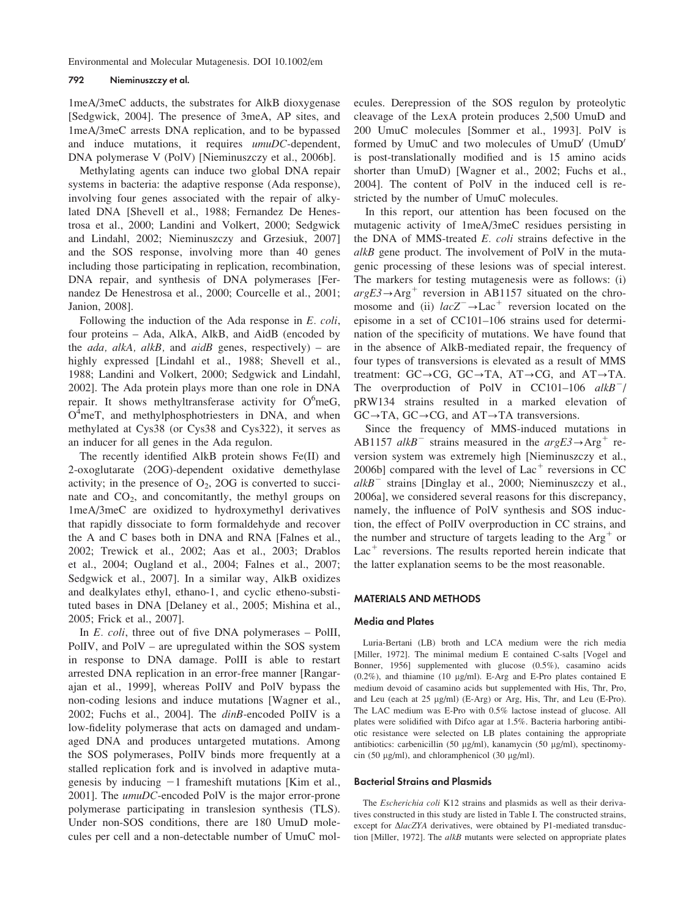Environmental and Molecular Mutagenesis. DOI 10.1002/em

## 792 Nieminuszczy et al.

1meA/3meC adducts, the substrates for AlkB dioxygenase [Sedgwick, 2004]. The presence of 3meA, AP sites, and 1meA/3meC arrests DNA replication, and to be bypassed and induce mutations, it requires umuDC-dependent, DNA polymerase V (PolV) [Nieminuszczy et al., 2006b].

Methylating agents can induce two global DNA repair systems in bacteria: the adaptive response (Ada response), involving four genes associated with the repair of alkylated DNA [Shevell et al., 1988; Fernandez De Henestrosa et al., 2000; Landini and Volkert, 2000; Sedgwick and Lindahl, 2002; Nieminuszczy and Grzesiuk, 2007] and the SOS response, involving more than 40 genes including those participating in replication, recombination, DNA repair, and synthesis of DNA polymerases [Fernandez De Henestrosa et al., 2000; Courcelle et al., 2001; Janion, 2008].

Following the induction of the Ada response in E. coli, four proteins – Ada, AlkA, AlkB, and AidB (encoded by the *ada*,  $alkA$ ,  $alkB$ , and  $aidB$  genes, respectively) – are highly expressed [Lindahl et al., 1988; Shevell et al., 1988; Landini and Volkert, 2000; Sedgwick and Lindahl, 2002]. The Ada protein plays more than one role in DNA repair. It shows methyltransferase activity for  $O^6$ meG,  $O^{\overline{4}}$ meT, and methylphosphotriesters in DNA, and when methylated at Cys38 (or Cys38 and Cys322), it serves as an inducer for all genes in the Ada regulon.

The recently identified AlkB protein shows Fe(II) and 2-oxoglutarate (2OG)-dependent oxidative demethylase activity; in the presence of  $O_2$ , 2OG is converted to succinate and  $CO<sub>2</sub>$ , and concomitantly, the methyl groups on 1meA/3meC are oxidized to hydroxymethyl derivatives that rapidly dissociate to form formaldehyde and recover the A and C bases both in DNA and RNA [Falnes et al., 2002; Trewick et al., 2002; Aas et al., 2003; Drablos et al., 2004; Ougland et al., 2004; Falnes et al., 2007; Sedgwick et al., 2007]. In a similar way, AlkB oxidizes and dealkylates ethyl, ethano-1, and cyclic etheno-substituted bases in DNA [Delaney et al., 2005; Mishina et al., 2005; Frick et al., 2007].

In *E. coli*, three out of five DNA polymerases – PolII, PolIV, and PolV – are upregulated within the SOS system in response to DNA damage. PolII is able to restart arrested DNA replication in an error-free manner [Rangarajan et al., 1999], whereas PolIV and PolV bypass the non-coding lesions and induce mutations [Wagner et al., 2002; Fuchs et al., 2004]. The dinB-encoded PolIV is a low-fidelity polymerase that acts on damaged and undamaged DNA and produces untargeted mutations. Among the SOS polymerases, PolIV binds more frequently at a stalled replication fork and is involved in adaptive mutagenesis by inducing  $-1$  frameshift mutations [Kim et al., 2001]. The *umuDC*-encoded PolV is the major error-prone polymerase participating in translesion synthesis (TLS). Under non-SOS conditions, there are 180 UmuD molecules per cell and a non-detectable number of UmuC molecules. Derepression of the SOS regulon by proteolytic cleavage of the LexA protein produces 2,500 UmuD and 200 UmuC molecules [Sommer et al., 1993]. PolV is formed by UmuC and two molecules of UmuD' (UmuD' is post-translationally modified and is 15 amino acids shorter than UmuD) [Wagner et al., 2002; Fuchs et al., 2004]. The content of PolV in the induced cell is restricted by the number of UmuC molecules.

In this report, our attention has been focused on the mutagenic activity of 1meA/3meC residues persisting in the DNA of MMS-treated E. coli strains defective in the alkB gene product. The involvement of PolV in the mutagenic processing of these lesions was of special interest. The markers for testing mutagenesis were as follows: (i)  $argE3 \rightarrow Arg^+$  reversion in AB1157 situated on the chromosome and (ii)  $lacZ^- \rightarrow Lac^+$  reversion located on the episome in a set of CC101–106 strains used for determination of the specificity of mutations. We have found that in the absence of AlkB-mediated repair, the frequency of four types of transversions is elevated as a result of MMS treatment:  $GC \rightarrow CG$ ,  $GC \rightarrow TA$ ,  $AT \rightarrow CG$ , and  $AT \rightarrow TA$ . The overproduction of PolV in CC101–106  $alkB^{-}$ / pRW134 strains resulted in a marked elevation of  $GC \rightarrow TA$ ,  $GC \rightarrow CG$ , and  $AT \rightarrow TA$  transversions.

Since the frequency of MMS-induced mutations in AB1157 alkB<sup>-</sup> strains measured in the argE3 $\rightarrow$ Arg<sup>+</sup> reversion system was extremely high [Nieminuszczy et al., 2006b] compared with the level of  $Lac<sup>+</sup>$  reversions in CC  $alkB^-$  strains [Dinglay et al., 2000; Nieminuszczy et al., 2006a], we considered several reasons for this discrepancy, namely, the influence of PolV synthesis and SOS induction, the effect of PolIV overproduction in CC strains, and the number and structure of targets leading to the  $Arg^+$  or  $Lac<sup>+</sup>$  reversions. The results reported herein indicate that the latter explanation seems to be the most reasonable.

## MATERIALS AND METHODS

#### Media and Plates

Luria-Bertani (LB) broth and LCA medium were the rich media [Miller, 1972]. The minimal medium E contained C-salts [Vogel and Bonner, 1956] supplemented with glucose (0.5%), casamino acids  $(0.2\%)$ , and thiamine  $(10 \text{ µg/ml})$ . E-Arg and E-Pro plates contained E medium devoid of casamino acids but supplemented with His, Thr, Pro, and Leu (each at 25 µg/ml) (E-Arg) or Arg, His, Thr, and Leu (E-Pro). The LAC medium was E-Pro with 0.5% lactose instead of glucose. All plates were solidified with Difco agar at 1.5%. Bacteria harboring antibiotic resistance were selected on LB plates containing the appropriate antibiotics: carbenicillin  $(50 \mu g/ml)$ , kanamycin  $(50 \mu g/ml)$ , spectinomycin (50  $\mu$ g/ml), and chloramphenicol (30  $\mu$ g/ml).

#### Bacterial Strains and Plasmids

The Escherichia coli K12 strains and plasmids as well as their derivatives constructed in this study are listed in Table I. The constructed strains, except for  $\triangle$ lacZYA derivatives, were obtained by P1-mediated transduction [Miller, 1972]. The *alkB* mutants were selected on appropriate plates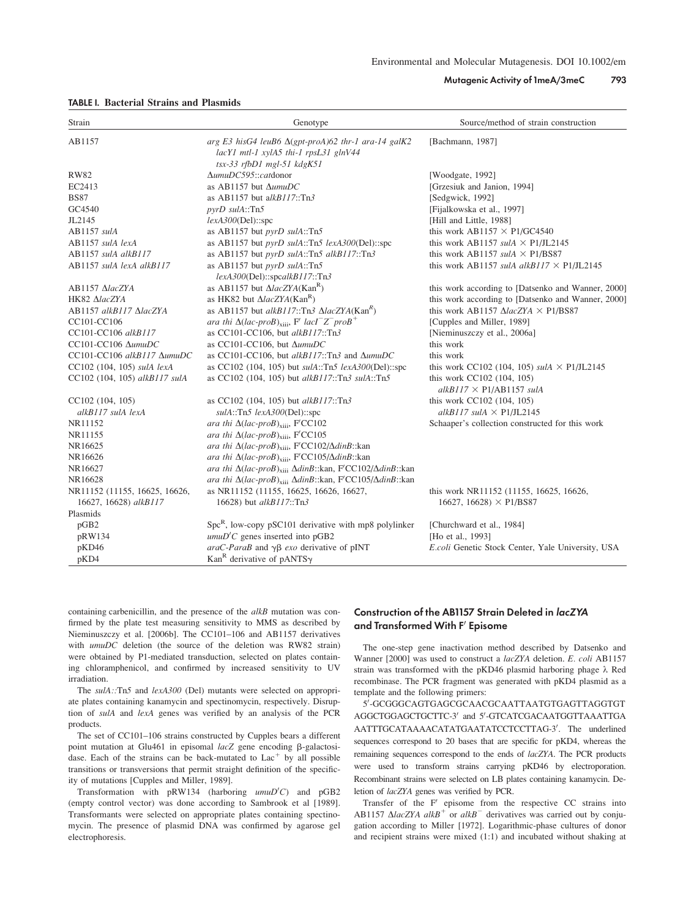| Strain                                                 | Genotype                                                                                                                                 | Source/method of strain construction                                      |
|--------------------------------------------------------|------------------------------------------------------------------------------------------------------------------------------------------|---------------------------------------------------------------------------|
| AB1157                                                 | arg E3 his G4 leuB6 $\Delta$ (gpt-proA)62 thr-1 ara-14 galK2<br>lacY1 mtl-1 xylA5 thi-1 rpsL31 glnV44<br>$txx-33$ rfbD1 mgl-51 kdg $K51$ | [Bachmann, 1987]                                                          |
| <b>RW82</b>                                            | AumuDC595::catdonor                                                                                                                      | [Woodgate, 1992]                                                          |
| EC2413                                                 | as AB1157 but $\Delta$ umuDC                                                                                                             | [Grzesiuk and Janion, 1994]                                               |
| <b>BS87</b>                                            | as AB1157 but $alkB117::Tn3$                                                                                                             | [Sedgwick, 1992]                                                          |
| GC4540                                                 | pyrD sulA::Tn5                                                                                                                           | [Fijalkowska et al., 1997]                                                |
| JL2145                                                 | lexA300(Del::spc)                                                                                                                        | [Hill and Little, 1988]                                                   |
| AB1157 sulA                                            | as AB1157 but pyrD sulA::Tn5                                                                                                             | this work AB1157 $\times$ P1/GC4540                                       |
| AB1157 sulA lexA                                       | as AB1157 but pyrD sulA::Tn5 lexA300(Del)::spc                                                                                           | this work AB1157 sulA $\times$ P1/JL2145                                  |
| AB1157 sulA alkB117                                    | as AB1157 but pyrD sulA::Tn5 alkB117::Tn3                                                                                                | this work AB1157 sul $A \times P1/B$ S87                                  |
| AB1157 sulA lexA alkB117                               | as AB1157 but pyrD sulA::Tn5<br>lexA300(Del::spcalkB117::Th3                                                                             | this work AB1157 sulA alkB117 $\times$ P1/JL2145                          |
| AB1157 AlacZYA                                         | as AB1157 but $\Delta$ lacZYA(Kan <sup>R</sup> )                                                                                         | this work according to [Datsenko and Wanner, 2000]                        |
| HK82 AlacZYA                                           | as HK82 but $\triangle$ <i>lacZYA</i> (Kan <sup>R</sup> )                                                                                | this work according to [Datsenko and Wanner, 2000]                        |
| AB1157 alkB117 AlacZYA                                 | as AB1157 but alkB117::Tn3 $\Delta$ lacZYA(Kan <sup>R</sup> )                                                                            | this work AB1157 $\triangle$ lacZYA $\times$ P1/BS87                      |
| CC101-CC106                                            | ara thi $\Delta (lac$ -proB) <sub>xiii</sub> , F' lacI <sup>-</sup> Z <sup>-</sup> proB <sup>+</sup>                                     | [Cupples and Miller, 1989]                                                |
| CC101-CC106 alkB117                                    | as CC101-CC106, but alkB117::Tn3                                                                                                         | [Nieminuszczy et al., 2006a]                                              |
| CC101-CC106 AumuDC                                     | as CC101-CC106, but $\Delta$ umuDC                                                                                                       | this work                                                                 |
| CC101-CC106 alkB117 AumuDC                             | as CC101-CC106, but alkB117::Tn3 and $\Delta$ umuDC                                                                                      | this work                                                                 |
| CC102 (104, 105) sulA lexA                             | as CC102 (104, 105) but sulA::Tn5 lexA300(Del)::spc                                                                                      | this work CC102 (104, 105) sulA $\times$ P1/JL2145                        |
| CC102 (104, 105) alkB117 sulA                          | as CC102 (104, 105) but alkB117::Tn3 sulA::Tn5                                                                                           | this work CC102 (104, 105)<br>alkB117 $\times$ P1/AB1157 sulA             |
| CC102 (104, 105)                                       | as CC102 (104, 105) but alkB117::Tn3                                                                                                     | this work CC102 (104, 105)                                                |
| alkB117 sulA lexA                                      | $sulA::Tn5$ $lexA300(Del):spc$                                                                                                           | alkB117 sulA $\times$ P1/JL2145                                           |
| NR11152                                                | ara thi $\Delta (lac$ -proB) <sub>xiii</sub> , F'CC102                                                                                   | Schaaper's collection constructed for this work                           |
| NR11155                                                | ara thi $\Delta (lac$ -proB) <sub>xiii</sub> , F'CC105                                                                                   |                                                                           |
| NR16625                                                | ara thi $\Delta (lac$ -proB) <sub>xiii</sub> , F'CC102/ $\Delta$ dinB::kan                                                               |                                                                           |
| NR16626                                                | ara thi $\Delta (lac$ -proB) <sub>xiii</sub> , F'CC105/ $\Delta$ dinB::kan                                                               |                                                                           |
| NR16627                                                | ara thi $\Delta (lac$ -proB) <sub>xiii</sub> $\Delta d$ inB::kan, F'CC102/ $\Delta d$ inB::kan                                           |                                                                           |
| NR16628                                                | ara thi $\Delta (lac$ -proB) <sub>xiii</sub> $\Delta d$ inB::kan, F'CC105/ $\Delta d$ inB::kan                                           |                                                                           |
| NR11152 (11155, 16625, 16626,<br>16627, 16628) alkB117 | as NR11152 (11155, 16625, 16626, 16627,<br>16628) but alkB117::Tn3                                                                       | this work NR11152 (11155, 16625, 16626,<br>16627, 16628) $\times$ P1/BS87 |
| Plasmids                                               |                                                                                                                                          |                                                                           |
| pGB2                                                   | $SpcR$ , low-copy pSC101 derivative with mp8 polylinker                                                                                  | [Churchward et al., 1984]                                                 |
| pRW134                                                 | $umuD'C$ genes inserted into pGB2                                                                                                        | [Ho et al., 1993]                                                         |
| pKD46<br>pKD4                                          | araC-ParaB and $\gamma\beta$ exo derivative of pINT<br>Kan <sup>R</sup> derivative of pANTS $\gamma$                                     | E.coli Genetic Stock Center, Yale University, USA                         |

#### TABLE I. Bacterial Strains and Plasmids

containing carbenicillin, and the presence of the alkB mutation was confirmed by the plate test measuring sensitivity to MMS as described by Nieminuszczy et al. [2006b]. The CC101–106 and AB1157 derivatives with  $umuDC$  deletion (the source of the deletion was RW82 strain) were obtained by P1-mediated transduction, selected on plates containing chloramphenicol, and confirmed by increased sensitivity to UV irradiation.

The sulA::Tn5 and lexA300 (Del) mutants were selected on appropriate plates containing kanamycin and spectinomycin, respectively. Disruption of sulA and lexA genes was verified by an analysis of the PCR products.

The set of CC101–106 strains constructed by Cupples bears a different point mutation at Glu461 in episomal  $lacZ$  gene encoding  $\beta$ -galactosidase. Each of the strains can be back-mutated to  $Lac<sup>+</sup>$  by all possible transitions or transversions that permit straight definition of the specificity of mutations [Cupples and Miller, 1989].

Transformation with  $pRW134$  (harboring  $umuD'C$ ) and  $pGB2$ (empty control vector) was done according to Sambrook et al [1989]. Transformants were selected on appropriate plates containing spectinomycin. The presence of plasmid DNA was confirmed by agarose gel electrophoresis.

## Construction of the AB1157 Strain Deleted in lacZYA and Transformed With F' Episome

The one-step gene inactivation method described by Datsenko and Wanner [2000] was used to construct a lacZYA deletion. E. coli AB1157 strain was transformed with the pKD46 plasmid harboring phage  $\lambda$  Red recombinase. The PCR fragment was generated with pKD4 plasmid as a template and the following primers:

5'-GCGGGCAGTGAGCGCAACGCAATTAATGTGAGTTAGGTGT AGGCTGGAGCTGCTTC-3' and 5'-GTCATCGACAATGGTTAAATTGA AATTTGCATAAAACATATGAATATCCTCCTTAG-3'. The underlined sequences correspond to 20 bases that are specific for pKD4, whereas the remaining sequences correspond to the ends of lacZYA. The PCR products were used to transform strains carrying pKD46 by electroporation. Recombinant strains were selected on LB plates containing kanamycin. Deletion of lacZYA genes was verified by PCR.

Transfer of the  $F'$  episome from the respective CC strains into AB1157  $\triangle$ lacZYA alkB<sup>+</sup> or alkB<sup>-</sup> derivatives was carried out by conjugation according to Miller [1972]. Logarithmic-phase cultures of donor and recipient strains were mixed (1:1) and incubated without shaking at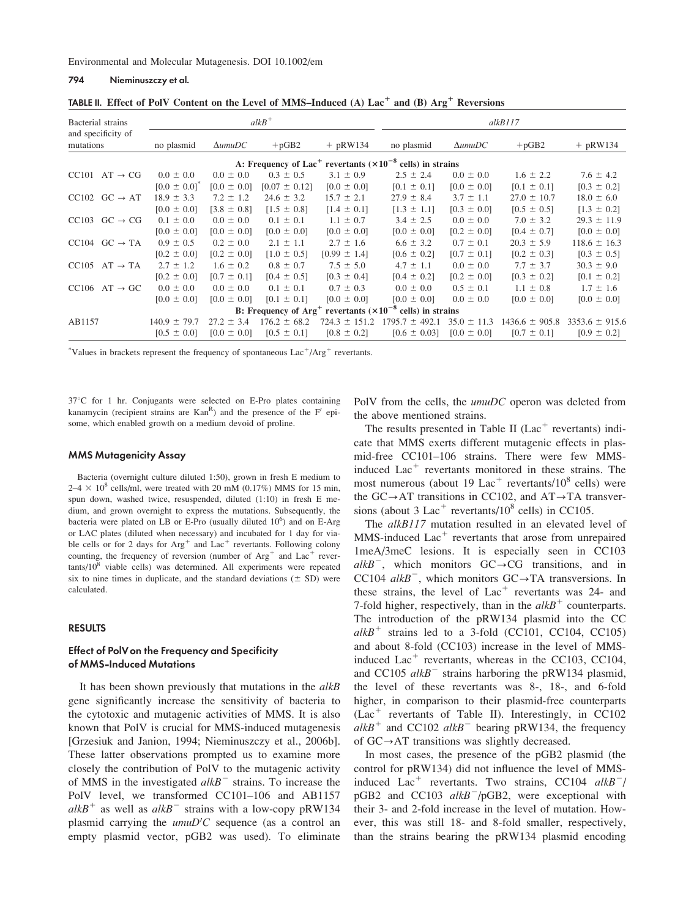Environmental and Molecular Mutagenesis. DOI 10.1002/em

#### 794 Nieminuszczy et al.

| Bacterial strains<br>and specificity of                                                 |                                                                                 |                 | $alkB^+$          |                   | alkB117            |                 |                    |                    |  |
|-----------------------------------------------------------------------------------------|---------------------------------------------------------------------------------|-----------------|-------------------|-------------------|--------------------|-----------------|--------------------|--------------------|--|
| mutations                                                                               | no plasmid                                                                      | $\Delta$ umuDC  | $+pGB2$           | $+$ pRW134        | no plasmid         | $\Delta$ umuDC  | $+pGB2$            | $+$ pRW134         |  |
|                                                                                         | A: Frequency of Lac <sup>+</sup> revertants $(\times 10^{-8}$ cells) in strains |                 |                   |                   |                    |                 |                    |                    |  |
| $CC101$ AT $\rightarrow$ CG                                                             | $0.0 \pm 0.0$                                                                   | $0.0 \pm 0.0$   | $0.3 \pm 0.5$     | $3.1 \pm 0.9$     | $2.5 \pm 2.4$      | $0.0 \pm 0.0$   | $1.6 \pm 2.2$      | $7.6 \pm 4.2$      |  |
|                                                                                         | $[0.0 \pm 0.0]$ <sup>*</sup>                                                    | $[0.0 \pm 0.0]$ | $[0.07 \pm 0.12]$ | $[0.0 \pm 0.0]$   | $[0.1 \pm 0.1]$    | $[0.0 \pm 0.0]$ | $[0.1 \pm 0.1]$    | $[0.3 \pm 0.2]$    |  |
| $CC102 \tGC \rightarrow AT$                                                             | $18.9 \pm 3.3$                                                                  | $7.2 \pm 1.2$   | $24.6 \pm 3.2$    | $15.7 \pm 2.1$    | $27.9 \pm 8.4$     | $3.7 \pm 1.1$   | $27.0 \pm 10.7$    | $18.0 \pm 6.0$     |  |
|                                                                                         | $[0.0 \pm 0.0]$                                                                 | $[3.8 \pm 0.8]$ | $[1.5 \pm 0.8]$   | $[1.4 \pm 0.1]$   | $[1.3 \pm 1.1]$    | $[0.3 \pm 0.0]$ | $[0.5 \pm 0.5]$    | $[1.3 \pm 0.2]$    |  |
| $CC103$ $GC \rightarrow CG$                                                             | $0.1 \pm 0.0$                                                                   | $0.0 \pm 0.0$   | $0.1 \pm 0.1$     | $1.1 \pm 0.7$     | $3.4 \pm 2.5$      | $0.0 \pm 0.0$   | $7.0 \pm 3.2$      | $29.3 \pm 11.9$    |  |
|                                                                                         | $[0.0 \pm 0.0]$                                                                 | $[0.0 \pm 0.0]$ | $[0.0 \pm 0.0]$   | $[0.0 \pm 0.0]$   | $[0.0 \pm 0.0]$    | $[0.2 \pm 0.0]$ | $[0.4 \pm 0.7]$    | $[0.0 \pm 0.0]$    |  |
| $CC104$ $GC \rightarrow TA$                                                             | $0.9 \pm 0.5$                                                                   | $0.2 \pm 0.0$   | $2.1 \pm 1.1$     | $2.7 \pm 1.6$     | $6.6 \pm 3.2$      | $0.7 \pm 0.1$   | $20.3 \pm 5.9$     | $118.6 \pm 16.3$   |  |
|                                                                                         | $[0.2 \pm 0.0]$                                                                 | $[0.2 \pm 0.0]$ | $[1.0 \pm 0.5]$   | $[0.99 \pm 1.4]$  | $[0.6 \pm 0.2]$    | $[0.7 \pm 0.1]$ | $[0.2 \pm 0.3]$    | $[0.3 \pm 0.5]$    |  |
| $CC105 AT \rightarrow TA$                                                               | $2.7 \pm 1.2$                                                                   | $1.6 \pm 0.2$   | $0.8 \pm 0.7$     | $7.5 \pm 5.0$     | $4.7 \pm 1.1$      | $0.0 \pm 0.0$   | $7.7 \pm 3.7$      | $30.3 \pm 9.0$     |  |
|                                                                                         | $[0.2 \pm 0.0]$                                                                 | $[0.7 \pm 0.1]$ | $[0.4 \pm 0.5]$   | $[0.3 \pm 0.4]$   | $[0.4 \pm 0.2]$    | $[0.2 \pm 0.0]$ | $[0.3 \pm 0.2]$    | $[0.1 \pm 0.2]$    |  |
| $CC106$ $AT \rightarrow GC$                                                             | $0.0 \pm 0.0$                                                                   | $0.0 \pm 0.0$   | $0.1 \pm 0.1$     | $0.7 \pm 0.3$     | $0.0 \pm 0.0$      | $0.5 \pm 0.1$   | $1.1 \pm 0.8$      | $1.7 \pm 1.6$      |  |
|                                                                                         | $[0.0 \pm 0.0]$                                                                 | $[0.0 \pm 0.0]$ | $[0.1 \pm 0.1]$   | $[0.0 \pm 0.0]$   | $[0.0 \pm 0.0]$    | $0.0 \pm 0.0$   | $[0.0 \pm 0.0]$    | $[0.0 \pm 0.0]$    |  |
| B: Frequency of Arg <sup>+</sup> revertants $(\times 10^{-8} \text{ cells})$ in strains |                                                                                 |                 |                   |                   |                    |                 |                    |                    |  |
| AB1157                                                                                  | $140.9 \pm 79.7$                                                                | $27.2 \pm 3.4$  | $176.2 \pm 68.2$  | $724.3 \pm 151.2$ | $1795.7 \pm 492.1$ | $35.0 \pm 11.3$ | $1436.6 \pm 905.8$ | $3353.6 \pm 915.6$ |  |
|                                                                                         | $[0.5 \pm 0.0]$                                                                 | $[0.0 \pm 0.0]$ | $[0.5 \pm 0.1]$   | $[0.8 \pm 0.2]$   | $[0.6 \pm 0.03]$   | $[0.0 \pm 0.0]$ | $[0.7 \pm 0.1]$    | $[0.9 \pm 0.2]$    |  |

TABLE II. Effect of PolV Content on the Level of MMS–Induced (A)  $\text{Lac}^+$  and (B) Arg<sup>+</sup> Reversions

 $*$ Values in brackets represent the frequency of spontaneous Lac $^+/Arg^+$  revertants.

 $37^{\circ}$ C for 1 hr. Conjugants were selected on E-Pro plates containing kanamycin (recipient strains are  $Kan^R$ ) and the presence of the  $F'$  episome, which enabled growth on a medium devoid of proline.

## MMS Mutagenicity Assay

Bacteria (overnight culture diluted 1:50), grown in fresh E medium to  $2-4 \times 10^8$  cells/ml, were treated with 20 mM (0.17%) MMS for 15 min, spun down, washed twice, resuspended, diluted (1:10) in fresh E medium, and grown overnight to express the mutations. Subsequently, the bacteria were plated on LB or E-Pro (usually diluted  $10^6$ ) and on E-Arg or LAC plates (diluted when necessary) and incubated for 1 day for viable cells or for 2 days for  $Arg^+$  and  $Lac^+$  revertants. Following colony counting, the frequency of reversion (number of  $Arg^+$  and  $Lac^+$  revertants/108 viable cells) was determined. All experiments were repeated six to nine times in duplicate, and the standard deviations  $(± SD)$  were calculated.

## RESULTS

## Effect of PolV on the Frequency and Specificity of MMS-Induced Mutations

It has been shown previously that mutations in the  $alkB$ gene significantly increase the sensitivity of bacteria to the cytotoxic and mutagenic activities of MMS. It is also known that PolV is crucial for MMS-induced mutagenesis [Grzesiuk and Janion, 1994; Nieminuszczy et al., 2006b]. These latter observations prompted us to examine more closely the contribution of PolV to the mutagenic activity of MMS in the investigated  $alkB$ <sup>-</sup> strains. To increase the PolV level, we transformed CC101–106 and AB1157  $alkB<sup>+</sup>$  as well as  $alkB<sup>-</sup>$  strains with a low-copy pRW134 plasmid carrying the  $umuD'C$  sequence (as a control an empty plasmid vector, pGB2 was used). To eliminate PolV from the cells, the *umuDC* operon was deleted from the above mentioned strains.

The results presented in Table II (Lac<sup>+</sup> revertants) indicate that MMS exerts different mutagenic effects in plasmid-free CC101–106 strains. There were few MMSinduced  $Lac<sup>+</sup>$  revertants monitored in these strains. The most numerous (about 19 Lac<sup>+</sup> revertants/10<sup>8</sup> cells) were the GC $\rightarrow$ AT transitions in CC102, and AT $\rightarrow$ TA transversions (about 3 Lac<sup>+</sup> revertants/10<sup>8</sup> cells) in CC105.

The alkB117 mutation resulted in an elevated level of  $MMS$ -induced Lac<sup>+</sup> revertants that arose from unrepaired 1meA/3meC lesions. It is especially seen in CC103  $alkB^-$ , which monitors  $GC \rightarrow CG$  transitions, and in CC104  $alkB^-$ , which monitors  $GC \rightarrow TA$  transversions. In these strains, the level of  $Lac<sup>+</sup>$  revertants was 24- and 7-fold higher, respectively, than in the  $alkB<sup>+</sup>$  counterparts. The introduction of the pRW134 plasmid into the CC  $alkB<sup>+</sup>$  strains led to a 3-fold (CC101, CC104, CC105) and about 8-fold (CC103) increase in the level of MMSinduced Lac<sup>+</sup> revertants, whereas in the CC103, CC104, and CC105  $alkB^-$  strains harboring the pRW134 plasmid, the level of these revertants was 8-, 18-, and 6-fold higher, in comparison to their plasmid-free counterparts  $(Lac^+$  revertants of Table II). Interestingly, in CC102  $alkB^+$  and CC102 alkB<sup>-</sup> bearing pRW134, the frequency of  $GC \rightarrow AT$  transitions was slightly decreased.

In most cases, the presence of the pGB2 plasmid (the control for pRW134) did not influence the level of MMSinduced Lac<sup>+</sup> revertants. Two strains, CC104  $alkB^{-}/$  $pGB2$  and  $CC103$   $alkB^-/pGB2$ , were exceptional with their 3- and 2-fold increase in the level of mutation. However, this was still 18- and 8-fold smaller, respectively, than the strains bearing the pRW134 plasmid encoding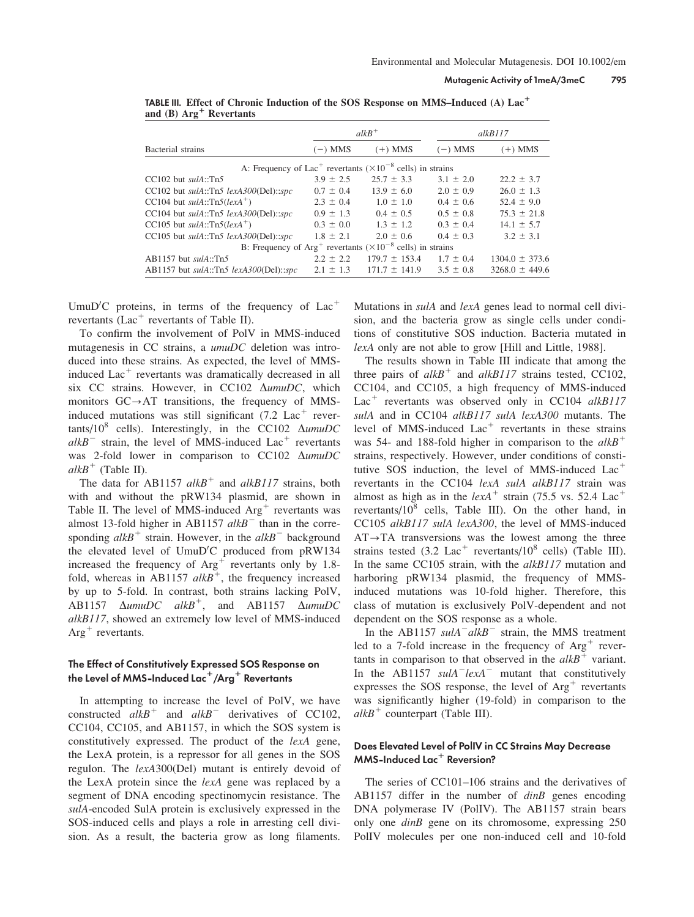|                                           |               | $alkB^+$                                                                         | alkB117       |                    |  |
|-------------------------------------------|---------------|----------------------------------------------------------------------------------|---------------|--------------------|--|
| Bacterial strains                         | $(-)$ MMS     | $(+)$ MMS                                                                        | $(-)$ MMS     | $(+)$ MMS          |  |
|                                           |               | A: Frequency of Lac <sup>+</sup> revertants ( $\times 10^{-8}$ cells) in strains |               |                    |  |
| $CC102$ but $\textit{sulA}:Tn5$           | $3.9 \pm 2.5$ | $25.7 \pm 3.3$                                                                   | $3.1 \pm 2.0$ | $22.2 \pm 3.7$     |  |
| CC102 but $sulA::Tn5$ $lexA300(Del::spc)$ | $0.7 \pm 0.4$ | $13.9 \pm 6.0$                                                                   | $2.0 \pm 0.9$ | $26.0 \pm 1.3$     |  |
| CC104 but $sulA::Tn5(lexA^+)$             | $2.3 \pm 0.4$ | $1.0 \pm 1.0$                                                                    | $0.4 \pm 0.6$ | $52.4 \pm 9.0$     |  |
| CC104 but sulA::Tn5 lexA300(Del)::spc     | $0.9 \pm 1.3$ | $0.4 \pm 0.5$                                                                    | $0.5 \pm 0.8$ | $75.3 \pm 21.8$    |  |
| CC105 but sulA::Tn5(lexA <sup>+</sup> )   | $0.3 \pm 0.0$ | $1.3 \pm 1.2$                                                                    | $0.3 \pm 0.4$ | $14.1 \pm 5.7$     |  |
| CC105 but $sulA::Tn5$ $lexA300(Del::spc)$ | $1.8 \pm 2.1$ | $2.0 \pm 0.6$                                                                    | $0.4 \pm 0.3$ | $3.2 \pm 3.1$      |  |
|                                           |               | B: Frequency of Arg <sup>+</sup> revertants ( $\times 10^{-8}$ cells) in strains |               |                    |  |
| $AB1157$ but $sulA::Tn5$                  | $2.2 \pm 2.2$ | $179.7 \pm 153.4$                                                                | $1.7 \pm 0.4$ | $1304.0 \pm 373.6$ |  |
| AB1157 but $sulA::Tn5$ $lexA300(Del):spc$ | $2.1 \pm 1.3$ | $171.7 \pm 141.9$                                                                | $3.5 \pm 0.8$ | $3268.0 \pm 449.6$ |  |

TABLE III. Effect of Chronic Induction of the SOS Response on MMS–Induced (A) Lac<sup>1</sup> and  $(B)$  Arg<sup>+</sup> Revertants

UmuD'C proteins, in terms of the frequency of  $Lac$ <sup>+</sup> revertants (Lac<sup>+</sup> revertants of Table II).

To confirm the involvement of PolV in MMS-induced mutagenesis in CC strains, a umuDC deletion was introduced into these strains. As expected, the level of MMSinduced Lac<sup>+</sup> revertants was dramatically decreased in all six CC strains. However, in CC102  $\Delta$ umuDC, which monitors  $GC \rightarrow AT$  transitions, the frequency of MMSinduced mutations was still significant  $(7.2 \text{ Lac}^+ \text{rever-}$ tants/10<sup>8</sup> cells). Interestingly, in the CC102  $\Delta$ umuDC  $alkB$ <sup>-</sup> strain, the level of MMS-induced Lac<sup>+</sup> revertants was 2-fold lower in comparison to CC102  $\Delta$ umuDC  $alkB^+$  (Table II).

The data for AB1157  $alkB<sup>+</sup>$  and  $alkB117$  strains, both with and without the pRW134 plasmid, are shown in Table II. The level of MMS-induced  $Arg<sup>+</sup>$  revertants was almost 13-fold higher in AB1157  $alkB$ <sup>-</sup> than in the corresponding  $alkB^+$  strain. However, in the  $alkB^-$  background the elevated level of UmuD'C produced from pRW134 increased the frequency of  $Arg^+$  revertants only by 1.8fold, whereas in AB1157  $alkB^+$ , the frequency increased by up to 5-fold. In contrast, both strains lacking PolV, AB1157  $\Delta$ umuDC alkB<sup>+</sup>, and AB1157  $\Delta$ umuDC alkB117, showed an extremely low level of MMS-induced  $Arg<sup>+</sup>$  revertants.

## The Effect of Constitutively Expressed SOS Response on the Level of MMS-Induced Lac<sup>+</sup>/Arg<sup>+</sup> Revertants

In attempting to increase the level of PolV, we have constructed  $alkB^+$  and  $alkB^-$  derivatives of CC102, CC104, CC105, and AB1157, in which the SOS system is constitutively expressed. The product of the lexA gene, the LexA protein, is a repressor for all genes in the SOS regulon. The lexA300(Del) mutant is entirely devoid of the LexA protein since the lexA gene was replaced by a segment of DNA encoding spectinomycin resistance. The sulA-encoded SulA protein is exclusively expressed in the SOS-induced cells and plays a role in arresting cell division. As a result, the bacteria grow as long filaments.

Mutations in *sulA* and *lexA* genes lead to normal cell division, and the bacteria grow as single cells under conditions of constitutive SOS induction. Bacteria mutated in lexA only are not able to grow [Hill and Little, 1988].

The results shown in Table III indicate that among the three pairs of  $alkB<sup>+</sup>$  and  $alkB117$  strains tested, CC102, CC104, and CC105, a high frequency of MMS-induced Lac<sup>+</sup> revertants was observed only in CC104  $alkB117$ sulA and in CC104 alkB117 sulA lexA300 mutants. The level of MMS-induced  $Lac<sup>+</sup>$  revertants in these strains was 54- and 188-fold higher in comparison to the  $alkB^+$ strains, respectively. However, under conditions of constitutive SOS induction, the level of MMS-induced  $Lac$ <sup>+</sup> revertants in the CC104 lexA sulA alkB117 strain was almost as high as in the  $lexA^+$  strain (75.5 vs. 52.4 Lac<sup>+</sup> revertants/ $10^8$  cells, Table III). On the other hand, in CC105 alkB117 sulA lexA300, the level of MMS-induced  $AT \rightarrow TA$  transversions was the lowest among the three strains tested (3.2 Lac<sup>+</sup> revertants/10<sup>8</sup> cells) (Table III). In the same CC105 strain, with the alkB117 mutation and harboring pRW134 plasmid, the frequency of MMSinduced mutations was 10-fold higher. Therefore, this class of mutation is exclusively PolV-dependent and not dependent on the SOS response as a whole.

In the AB1157  $\textit{sulA}$ <sup>-</sup> alkB<sup>-</sup> strain, the MMS treatment led to a 7-fold increase in the frequency of  $Arg<sup>+</sup>$  revertants in comparison to that observed in the  $alkB<sup>+</sup>$  variant. In the AB1157  $sula^-$ lexA<sup>-</sup> mutant that constitutively expresses the SOS response, the level of  $Arg<sup>+</sup>$  revertants was significantly higher (19-fold) in comparison to the  $alkB<sup>+</sup> counterpart (Table III).$ 

## Does Elevated Level of PolIV in CC Strains May Decrease MMS-Induced Lac<sup>+</sup> Reversion?

The series of CC101–106 strains and the derivatives of AB1157 differ in the number of *dinB* genes encoding DNA polymerase IV (PolIV). The AB1157 strain bears only one dinB gene on its chromosome, expressing 250 PolIV molecules per one non-induced cell and 10-fold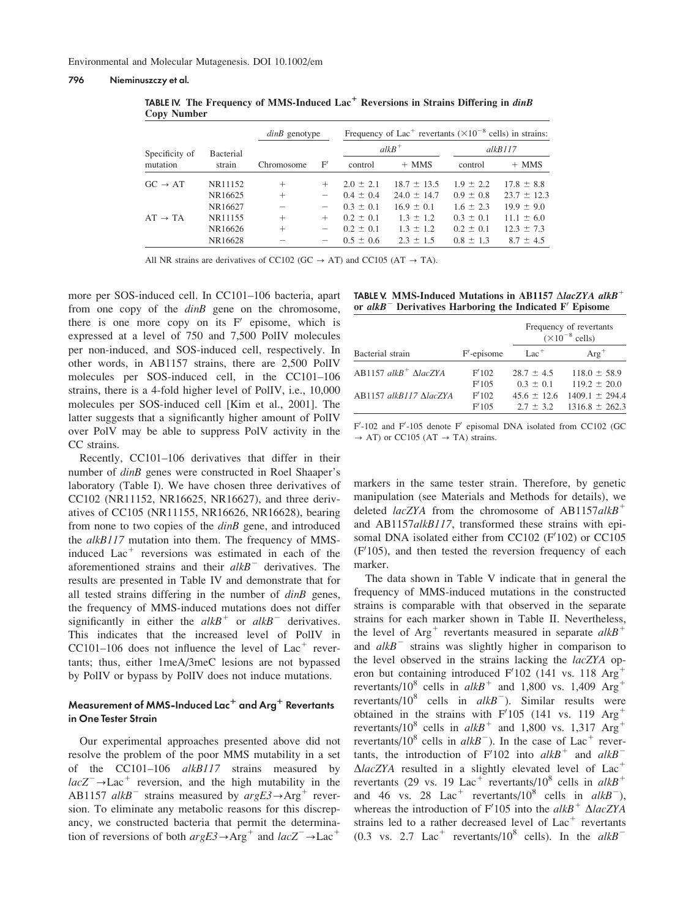#### 796 Nieminuszczy et al.

|                     | <b>Bacterial</b><br>strain | $dinB$ genotype |        | Frequency of Lac <sup>+</sup> revertants $(\times 10^{-8} \text{ cells})$ in strains: |                 |               |                 |  |
|---------------------|----------------------------|-----------------|--------|---------------------------------------------------------------------------------------|-----------------|---------------|-----------------|--|
| Specificity of      |                            |                 |        |                                                                                       | $alkB^+$        | alkB117       |                 |  |
| mutation            |                            | Chromosome      | F'     | control                                                                               | $+$ MMS         | control       | $+$ MMS         |  |
| $GC \rightarrow AT$ | NR11152                    | $^{+}$          | $^{+}$ | $2.0 \pm 2.1$                                                                         | $18.7 \pm 13.5$ | $1.9 \pm 2.2$ | $17.8 \pm 8.8$  |  |
|                     | NR16625                    | $^{+}$          |        | $0.4 \pm 0.4$                                                                         | $24.0 \pm 14.7$ | $0.9 \pm 0.8$ | $23.7 \pm 12.3$ |  |
|                     | NR16627                    |                 |        | $0.3 \pm 0.1$                                                                         | $16.9 \pm 0.1$  | $1.6 \pm 2.3$ | $19.9 \pm 9.0$  |  |
| $AT \rightarrow TA$ | NR11155                    | $^{+}$          | $^{+}$ | $0.2 \pm 0.1$                                                                         | $1.3 + 1.2$     | $0.3 \pm 0.1$ | $11.1 \pm 6.0$  |  |
|                     | NR16626                    | $^{+}$          |        | $0.2 \pm 0.1$                                                                         | $1.3 \pm 1.2$   | $0.2 \pm 0.1$ | $12.3 \pm 7.3$  |  |
|                     | NR16628                    |                 |        | $0.5 \pm 0.6$                                                                         | $2.3 \pm 1.5$   | $0.8 \pm 1.3$ | $8.7 \pm 4.5$   |  |

TABLE IV. The Frequency of MMS-Induced  $\text{Lac}^+$  Reversions in Strains Differing in dinB Copy Number

All NR strains are derivatives of CC102 (GC  $\rightarrow$  AT) and CC105 (AT  $\rightarrow$  TA).

more per SOS-induced cell. In CC101–106 bacteria, apart from one copy of the *dinB* gene on the chromosome, there is one more copy on its  $F'$  episome, which is expressed at a level of 750 and 7,500 PolIV molecules per non-induced, and SOS-induced cell, respectively. In other words, in AB1157 strains, there are 2,500 PolIV molecules per SOS-induced cell, in the CC101–106 strains, there is a 4-fold higher level of PolIV, i.e., 10,000 molecules per SOS-induced cell [Kim et al., 2001]. The latter suggests that a significantly higher amount of PolIV over PolV may be able to suppress PolV activity in the CC strains.

Recently, CC101–106 derivatives that differ in their number of dinB genes were constructed in Roel Shaaper's laboratory (Table I). We have chosen three derivatives of CC102 (NR11152, NR16625, NR16627), and three derivatives of CC105 (NR11155, NR16626, NR16628), bearing from none to two copies of the *dinB* gene, and introduced the alkB117 mutation into them. The frequency of MMSinduced  $Lac<sup>+</sup>$  reversions was estimated in each of the aforementioned strains and their  $alkB$ <sup>-</sup> derivatives. The results are presented in Table IV and demonstrate that for all tested strains differing in the number of  $dinB$  genes, the frequency of MMS-induced mutations does not differ significantly in either the  $alkB^+$  or  $alkB^-$  derivatives. This indicates that the increased level of PolIV in CC101–106 does not influence the level of  $Lac<sup>+</sup>$  revertants; thus, either 1meA/3meC lesions are not bypassed by PolIV or bypass by PolIV does not induce mutations.

## Measurement of MMS-Induced Lac<sup>+</sup> and Arg<sup>+</sup> Revertants in One Tester Strain

Our experimental approaches presented above did not resolve the problem of the poor MMS mutability in a set of the CC101–106 alkB117 strains measured by  $lac^-\rightarrow Lac^+$  reversion, and the high mutability in the AB1157 alkB<sup>-</sup> strains measured by  $argE3 \rightarrow Arg^+$  reversion. To eliminate any metabolic reasons for this discrepancy, we constructed bacteria that permit the determination of reversions of both  $argE3 \rightarrow Arg^{+}$  and  $lacZ^{-} \rightarrow Lac^{+}$ 

| TABLE V. MMS-Induced Mutations in AB1157 $\triangle$ lacZYA alkB <sup>+</sup> |  |  |  |
|-------------------------------------------------------------------------------|--|--|--|
| or $alkB^-$ Derivatives Harboring the Indicated F' Episome                    |  |  |  |

|                                     |              | Frequency of revertants<br>$(\times 10^{-8}$ cells) |                    |  |  |
|-------------------------------------|--------------|-----------------------------------------------------|--------------------|--|--|
| Bacterial strain                    | $F$ -episome | $Lac^+$                                             | $\text{Arg}^+$     |  |  |
| $AB1157 \; alkB^+ \; \Delta IacZYA$ | F'102        | $28.7 \pm 4.5$                                      | $118.0 \pm 58.9$   |  |  |
|                                     | F'105        | $0.3 \pm 0.1$                                       | $119.2 \pm 20.0$   |  |  |
| AB1157 alkB117 AlacZYA              | F'102        | $45.6 \pm 12.6$                                     | $1409.1 \pm 294.4$ |  |  |
|                                     | F'105        | $2.7 + 3.2$                                         | $1316.8 \pm 262.3$ |  |  |

F'-102 and F'-105 denote F' episomal DNA isolated from CC102 (GC  $\rightarrow$  AT) or CC105 (AT  $\rightarrow$  TA) strains.

markers in the same tester strain. Therefore, by genetic manipulation (see Materials and Methods for details), we deleted *lacZYA* from the chromosome of  $AB1157alkB<sup>+</sup>$ and AB1157alkB117, transformed these strains with episomal DNA isolated either from CC102 (F'102) or CC105  $(F'105)$ , and then tested the reversion frequency of each marker.

The data shown in Table V indicate that in general the frequency of MMS-induced mutations in the constructed strains is comparable with that observed in the separate strains for each marker shown in Table II. Nevertheless, the level of  $Arg^+$  revertants measured in separate  $alkB^+$ and  $alkB$ <sup>-</sup> strains was slightly higher in comparison to the level observed in the strains lacking the lacZYA operon but containing introduced  $F'102$  (141 vs. 118 Arg<sup>+</sup> revertants/10<sup>8</sup> cells in  $alkB^+$  and 1,800 vs. 1,409 Arg<sup>+</sup> revertants/10<sup>8</sup> cells in  $alkB^-$ ). Similar results were obtained in the strains with  $F'105$  (141 vs. 119 Arg<sup>+</sup> revertants/10<sup>8</sup> cells in  $alkB^+$  and 1,800 vs. 1,317 Arg<sup>+</sup> revertants/10<sup>8</sup> cells in  $alkB^-$ ). In the case of Lac<sup>+</sup> revertants, the introduction of  $F'102$  into  $alkB^+$  and  $alkB^ \triangle$ lacZYA resulted in a slightly elevated level of Lac<sup>+</sup> revertants (29 vs. 19 Lac<sup>+</sup> revertants/10<sup>8</sup> cells in  $alkB<sup>+</sup>$ and 46 vs. 28 Lac<sup>+</sup> revertants/10<sup>8</sup> cells in  $alkB^-$ ), whereas the introduction of F'105 into the alkB<sup>+</sup>  $\Delta$ lacZYA strains led to a rather decreased level of  $Lac<sup>+</sup>$  revertants  $(0.3 \text{ vs. } 2.7 \text{ Lac}^+$  revertants/10<sup>8</sup> cells). In the alkB<sup>-</sup>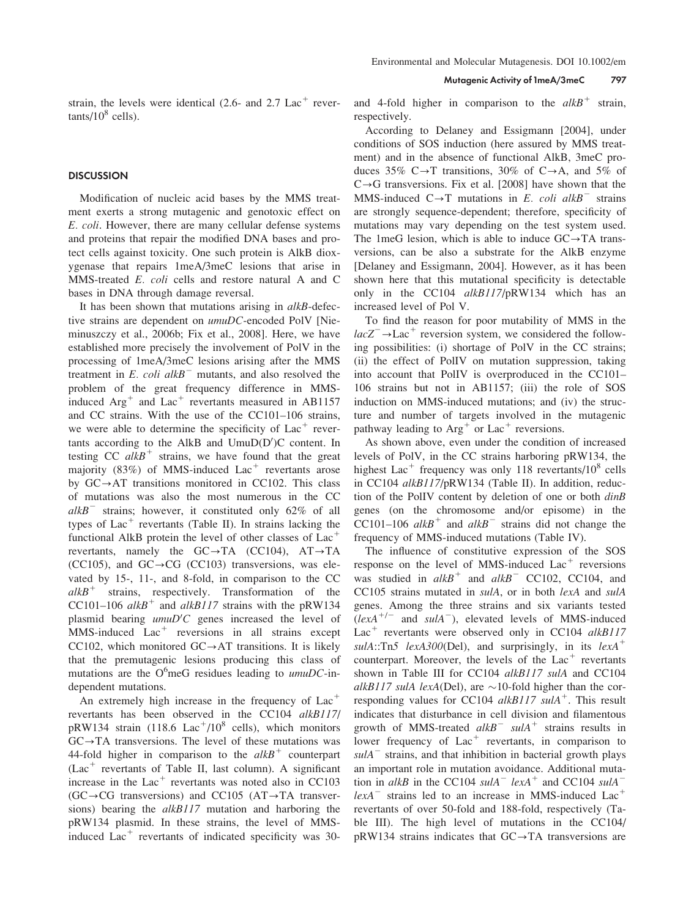## DISCUSSION

Modification of nucleic acid bases by the MMS treatment exerts a strong mutagenic and genotoxic effect on E. coli. However, there are many cellular defense systems and proteins that repair the modified DNA bases and protect cells against toxicity. One such protein is AlkB dioxygenase that repairs 1meA/3meC lesions that arise in MMS-treated E. coli cells and restore natural A and C bases in DNA through damage reversal.

It has been shown that mutations arising in alkB-defective strains are dependent on umuDC-encoded PolV [Nieminuszczy et al., 2006b; Fix et al., 2008]. Here, we have established more precisely the involvement of PolV in the processing of 1meA/3meC lesions arising after the MMS treatment in  $E$ . *coli alkB*<sup>-</sup> mutants, and also resolved the problem of the great frequency difference in MMSinduced  $Arg^+$  and  $Lac^+$  revertants measured in AB1157 and CC strains. With the use of the CC101–106 strains, we were able to determine the specificity of  $Lac^+$  revertants according to the AlkB and  $UmuD(D^{\prime})C$  content. In testing CC  $alkB^+$  strains, we have found that the great majority (83%) of MMS-induced  $Lac<sup>+</sup>$  revertants arose by  $GC \rightarrow AT$  transitions monitored in CC102. This class of mutations was also the most numerous in the CC  $alkB$ <sup>-</sup> strains; however, it constituted only 62% of all types of  $Lac^+$  revertants (Table II). In strains lacking the functional AlkB protein the level of other classes of  $Lac$ <sup>+</sup> revertants, namely the  $GC \rightarrow TA$  (CC104),  $AT \rightarrow TA$ (CC105), and GC $\rightarrow$ CG (CC103) transversions, was elevated by 15-, 11-, and 8-fold, in comparison to the CC  $alkB<sup>+</sup>$  strains, respectively. Transformation of the CC101–106  $alkB<sup>+</sup>$  and  $alkB117$  strains with the pRW134 plasmid bearing  $umuD'C$  genes increased the level of  $MMS-induced Lac<sup>+</sup> reversions in all strains except$ CC102, which monitored  $GC \rightarrow AT$  transitions. It is likely that the premutagenic lesions producing this class of mutations are the  $O^6$ meG residues leading to umuDC-independent mutations.

An extremely high increase in the frequency of  $Lac$ <sup>+</sup> revertants has been observed in the CC104 alkB117/  $pRW134$  strain (118.6 Lac<sup>+</sup>/10<sup>8</sup> cells), which monitors  $GC \rightarrow TA$  transversions. The level of these mutations was 44-fold higher in comparison to the  $alkB^+$  counterpart  $(Lac<sup>+</sup>$  revertants of Table II, last column). A significant increase in the  $Lac<sup>+</sup>$  revertants was noted also in CC103  $(GC \rightarrow CG$  transversions) and CC105  $(AT \rightarrow TA$  transversions) bearing the alkB117 mutation and harboring the pRW134 plasmid. In these strains, the level of MMSinduced Lac<sup>+</sup> revertants of indicated specificity was  $30$ - and 4-fold higher in comparison to the  $alkB^+$  strain, respectively.

According to Delaney and Essigmann [2004], under conditions of SOS induction (here assured by MMS treatment) and in the absence of functional AlkB, 3meC produces 35%  $C \rightarrow T$  transitions, 30% of  $C \rightarrow A$ , and 5% of  $C \rightarrow G$  transversions. Fix et al. [2008] have shown that the MMS-induced  $C \rightarrow T$  mutations in E. coli alkB<sup>-</sup> strains are strongly sequence-dependent; therefore, specificity of mutations may vary depending on the test system used. The 1meG lesion, which is able to induce  $GC \rightarrow TA$  transversions, can be also a substrate for the AlkB enzyme [Delaney and Essigmann, 2004]. However, as it has been shown here that this mutational specificity is detectable only in the CC104 alkB117/pRW134 which has an increased level of Pol V.

To find the reason for poor mutability of MMS in the  $lac^-\rightarrow Lac^+$  reversion system, we considered the following possibilities: (i) shortage of PolV in the CC strains; (ii) the effect of PolIV on mutation suppression, taking into account that PolIV is overproduced in the CC101– 106 strains but not in AB1157; (iii) the role of SOS induction on MMS-induced mutations; and (iv) the structure and number of targets involved in the mutagenic pathway leading to  $Arg^+$  or Lac<sup>+</sup> reversions.

As shown above, even under the condition of increased levels of PolV, in the CC strains harboring pRW134, the highest Lac<sup>+</sup> frequency was only 118 revertants/10<sup>8</sup> cells in CC104 alkB117/pRW134 (Table II). In addition, reduction of the PolIV content by deletion of one or both dinB genes (on the chromosome and/or episome) in the CC101–106  $alkB^+$  and  $alkB^-$  strains did not change the frequency of MMS-induced mutations (Table IV).

The influence of constitutive expression of the SOS response on the level of MMS-induced  $Lac<sup>+</sup>$  reversions was studied in  $alkB^+$  and  $alkB^-$  CC102, CC104, and CC105 strains mutated in sulA, or in both lexA and sulA genes. Among the three strains and six variants tested  $(lexA<sup>+/-</sup>$  and  $sulA<sup>-</sup>)$ , elevated levels of MMS-induced Lac<sup>+</sup> revertants were observed only in CC104 alkB117 sulA::Tn5 lexA300(Del), and surprisingly, in its lexA<sup>+</sup> counterpart. Moreover, the levels of the  $Lac<sup>+</sup>$  revertants shown in Table III for CC104 alkB117 sulA and CC104 alkB117 sulA lexA(Del), are  $\sim$ 10-fold higher than the corresponding values for CC104  $alkB117 \text{ sulA}^+$ . This result indicates that disturbance in cell division and filamentous growth of MMS-treated  $alkB^-$  sul $A^+$  strains results in lower frequency of  $Lac<sup>+</sup>$  revertants, in comparison to  $sula^-$  strains, and that inhibition in bacterial growth plays an important role in mutation avoidance. Additional mutation in alkB in the CC104 sulA<sup>-</sup> lexA<sup>+</sup> and CC104 sulA<sup>-</sup>  $lex A^-$  strains led to an increase in MMS-induced Lac<sup>+</sup> revertants of over 50-fold and 188-fold, respectively (Table III). The high level of mutations in the CC104/  $pRW134$  strains indicates that  $GC \rightarrow TA$  transversions are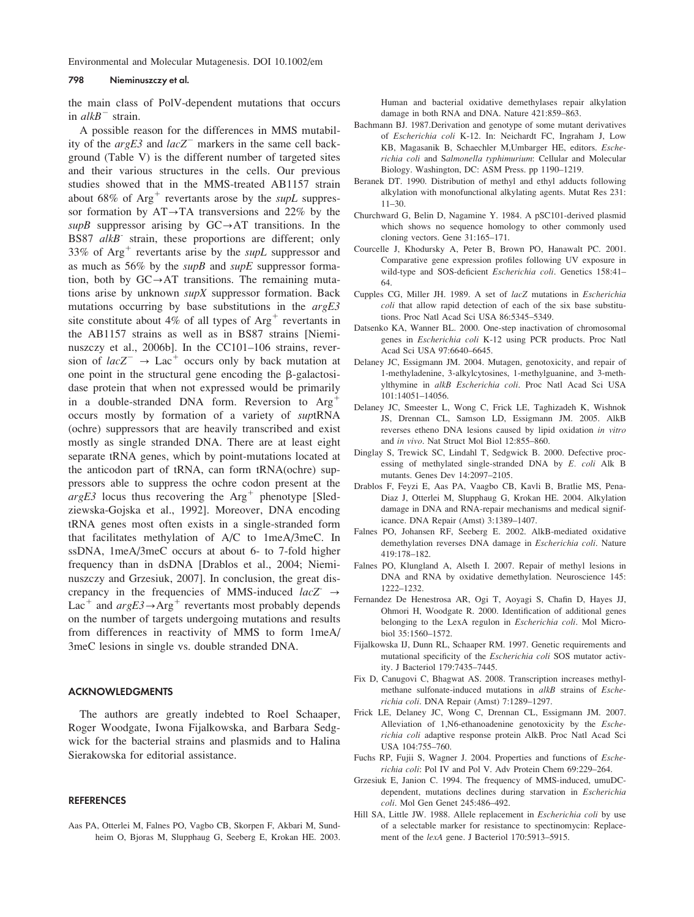Environmental and Molecular Mutagenesis. DOI 10.1002/em

### 798 Nieminuszczy et al.

the main class of PolV-dependent mutations that occurs in  $alkB^-$  strain.

A possible reason for the differences in MMS mutability of the  $argE3$  and  $lacZ^-$  markers in the same cell background (Table V) is the different number of targeted sites and their various structures in the cells. Our previous studies showed that in the MMS-treated AB1157 strain about 68% of  $Arg^+$  revertants arose by the *supL* suppressor formation by  $AT \rightarrow TA$  transversions and 22% by the supB suppressor arising by  $GC \rightarrow AT$  transitions. In the BS87 alkB<sup>-</sup> strain, these proportions are different; only 33% of  $Arg<sup>+</sup>$  revertants arise by the *supL* suppressor and as much as  $56\%$  by the *supB* and *supE* suppressor formation, both by  $GC \rightarrow AT$  transitions. The remaining mutations arise by unknown supX suppressor formation. Back mutations occurring by base substitutions in the  $argE3$ site constitute about 4% of all types of  $Arg<sup>+</sup>$  revertants in the AB1157 strains as well as in BS87 strains [Nieminuszczy et al., 2006b]. In the CC101–106 strains, reversion of  $lacZ^ \rightarrow$  Lac<sup>+</sup> occurs only by back mutation at one point in the structural gene encoding the  $\beta$ -galactosidase protein that when not expressed would be primarily in a double-stranded DNA form. Reversion to  $Arg<sup>+</sup>$ occurs mostly by formation of a variety of suptRNA (ochre) suppressors that are heavily transcribed and exist mostly as single stranded DNA. There are at least eight separate tRNA genes, which by point-mutations located at the anticodon part of tRNA, can form tRNA(ochre) suppressors able to suppress the ochre codon present at the  $argE3$  locus thus recovering the  $Arg^+$  phenotype [Sledziewska-Gojska et al., 1992]. Moreover, DNA encoding tRNA genes most often exists in a single-stranded form that facilitates methylation of A/C to 1meA/3meC. In ssDNA, 1meA/3meC occurs at about 6- to 7-fold higher frequency than in dsDNA [Drablos et al., 2004; Nieminuszczy and Grzesiuk, 2007]. In conclusion, the great discrepancy in the frequencies of MMS-induced  $lacZ \rightarrow$ Lac<sup>+</sup> and  $argE3 \rightarrow Arg$ <sup>+</sup> revertants most probably depends on the number of targets undergoing mutations and results from differences in reactivity of MMS to form 1meA/ 3meC lesions in single vs. double stranded DNA.

## ACKNOWLEDGMENTS

The authors are greatly indebted to Roel Schaaper, Roger Woodgate, Iwona Fijalkowska, and Barbara Sedgwick for the bacterial strains and plasmids and to Halina Sierakowska for editorial assistance.

## REFERENCES

Aas PA, Otterlei M, Falnes PO, Vagbo CB, Skorpen F, Akbari M, Sundheim O, Bjoras M, Slupphaug G, Seeberg E, Krokan HE. 2003. Human and bacterial oxidative demethylases repair alkylation damage in both RNA and DNA. Nature 421:859–863.

- Bachmann BJ. 1987.Derivation and genotype of some mutant derivatives of Escherichia coli K-12. In: Neichardt FC, Ingraham J, Low KB, Magasanik B, Schaechler M,Umbarger HE, editors. Escherichia coli and Salmonella typhimurium: Cellular and Molecular Biology. Washington, DC: ASM Press. pp 1190–1219.
- Beranek DT. 1990. Distribution of methyl and ethyl adducts following alkylation with monofunctional alkylating agents. Mutat Res 231: 11–30.
- Churchward G, Belin D, Nagamine Y. 1984. A pSC101-derived plasmid which shows no sequence homology to other commonly used cloning vectors. Gene 31:165–171.
- Courcelle J, Khodursky A, Peter B, Brown PO, Hanawalt PC. 2001. Comparative gene expression profiles following UV exposure in wild-type and SOS-deficient Escherichia coli. Genetics 158:41– 64.
- Cupples CG, Miller JH. 1989. A set of lacZ mutations in Escherichia coli that allow rapid detection of each of the six base substitutions. Proc Natl Acad Sci USA 86:5345–5349.
- Datsenko KA, Wanner BL. 2000. One-step inactivation of chromosomal genes in Escherichia coli K-12 using PCR products. Proc Natl Acad Sci USA 97:6640–6645.
- Delaney JC, Essigmann JM. 2004. Mutagen, genotoxicity, and repair of 1-methyladenine, 3-alkylcytosines, 1-methylguanine, and 3-methylthymine in alkB Escherichia coli. Proc Natl Acad Sci USA 101:14051–14056.
- Delaney JC, Smeester L, Wong C, Frick LE, Taghizadeh K, Wishnok JS, Drennan CL, Samson LD, Essigmann JM. 2005. AlkB reverses etheno DNA lesions caused by lipid oxidation in vitro and in vivo. Nat Struct Mol Biol 12:855–860.
- Dinglay S, Trewick SC, Lindahl T, Sedgwick B. 2000. Defective processing of methylated single-stranded DNA by E. coli Alk B mutants. Genes Dev 14:2097–2105.
- Drablos F, Feyzi E, Aas PA, Vaagbo CB, Kavli B, Bratlie MS, Pena-Diaz J, Otterlei M, Slupphaug G, Krokan HE. 2004. Alkylation damage in DNA and RNA-repair mechanisms and medical significance. DNA Repair (Amst) 3:1389–1407.
- Falnes PO, Johansen RF, Seeberg E. 2002. AlkB-mediated oxidative demethylation reverses DNA damage in Escherichia coli. Nature 419:178–182.
- Falnes PO, Klungland A, Alseth I. 2007. Repair of methyl lesions in DNA and RNA by oxidative demethylation. Neuroscience 145: 1222–1232.
- Fernandez De Henestrosa AR, Ogi T, Aoyagi S, Chafin D, Hayes JJ, Ohmori H, Woodgate R. 2000. Identification of additional genes belonging to the LexA regulon in Escherichia coli. Mol Microbiol 35:1560–1572.
- Fijalkowska IJ, Dunn RL, Schaaper RM. 1997. Genetic requirements and mutational specificity of the Escherichia coli SOS mutator activity. J Bacteriol 179:7435–7445.
- Fix D, Canugovi C, Bhagwat AS. 2008. Transcription increases methylmethane sulfonate-induced mutations in alkB strains of Escherichia coli. DNA Repair (Amst) 7:1289–1297.
- Frick LE, Delaney JC, Wong C, Drennan CL, Essigmann JM. 2007. Alleviation of 1,N6-ethanoadenine genotoxicity by the Escherichia coli adaptive response protein AlkB. Proc Natl Acad Sci USA 104:755–760.
- Fuchs RP, Fujii S, Wagner J. 2004. Properties and functions of Escherichia coli: Pol IV and Pol V. Adv Protein Chem 69:229–264.
- Grzesiuk E, Janion C. 1994. The frequency of MMS-induced, umuDCdependent, mutations declines during starvation in Escherichia coli. Mol Gen Genet 245:486–492.
- Hill SA, Little JW. 1988. Allele replacement in Escherichia coli by use of a selectable marker for resistance to spectinomycin: Replacement of the lexA gene. J Bacteriol 170:5913–5915.